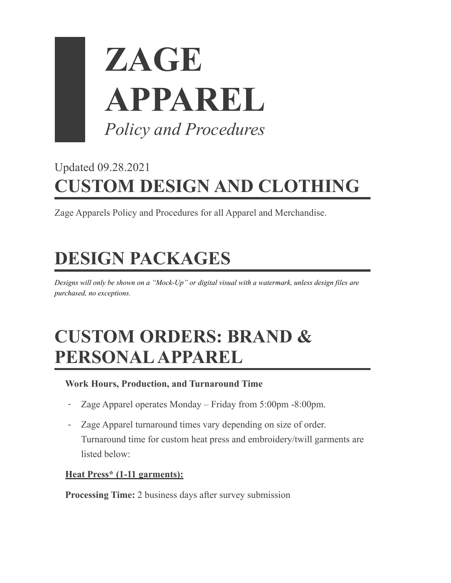

## Updated 09.28.2021 **CUSTOM DESIGN AND CLOTHING**

Zage Apparels Policy and Procedures for all Apparel and Merchandise.

# **DESIGN PACKAGES**

*Designs will only be shown on a "Mock-Up" or digital visual with a watermark, unless design files are purchased, no exceptions.*

## **CUSTOM ORDERS: BRAND & PERSONAL APPAREL**

#### **Work Hours, Production, and Turnaround Time**

- Zage Apparel operates Monday Friday from 5:00pm -8:00pm.
- Zage Apparel turnaround times vary depending on size of order. Turnaround time for custom heat press and embroidery/twill garments are listed below:

#### **Heat Press\* (1-11 garments):**

**Processing Time:** 2 business days after survey submission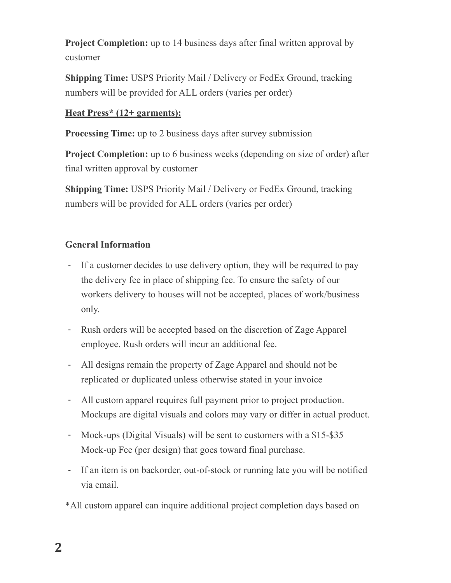**Project Completion:** up to 14 business days after final written approval by customer

**Shipping Time:** USPS Priority Mail / Delivery or FedEx Ground, tracking numbers will be provided for ALL orders (varies per order)

#### **Heat Press\* (12+ garments):**

**Processing Time:** up to 2 business days after survey submission

**Project Completion:** up to 6 business weeks (depending on size of order) after final written approval by customer

**Shipping Time:** USPS Priority Mail / Delivery or FedEx Ground, tracking numbers will be provided for ALL orders (varies per order)

#### **General Information**

- If a customer decides to use delivery option, they will be required to pay the delivery fee in place of shipping fee. To ensure the safety of our workers delivery to houses will not be accepted, places of work/business only.
- Rush orders will be accepted based on the discretion of Zage Apparel employee. Rush orders will incur an additional fee.
- All designs remain the property of Zage Apparel and should not be replicated or duplicated unless otherwise stated in your invoice
- All custom apparel requires full payment prior to project production. Mockups are digital visuals and colors may vary or differ in actual product.
- Mock-ups (Digital Visuals) will be sent to customers with a \$15-\$35 Mock-up Fee (per design) that goes toward final purchase.
- If an item is on backorder, out-of-stock or running late you will be notified via email.

\*All custom apparel can inquire additional project completion days based on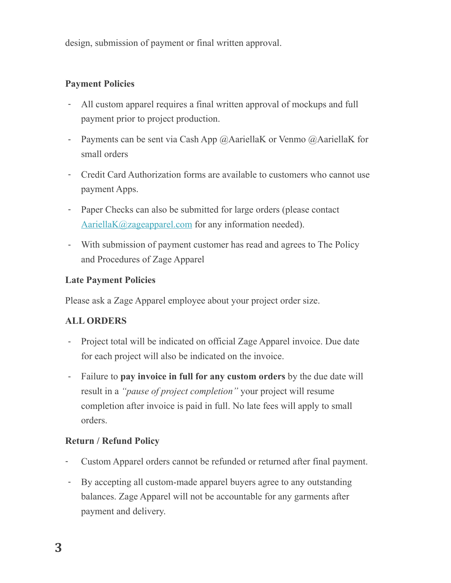design, submission of payment or final written approval.

#### **Payment Policies**

- All custom apparel requires a final written approval of mockups and full payment prior to project production.
- Payments can be sent via Cash App @AariellaK or Venmo @AariellaK for small orders
- Credit Card Authorization forms are available to customers who cannot use payment Apps.
- Paper Checks can also be submitted for large orders (please contact [AariellaK@zageapparel.com](mailto:AariellaK@zageapparel.com) for any information needed).
- With submission of payment customer has read and agrees to The Policy and Procedures of Zage Apparel

#### **Late Payment Policies**

Please ask a Zage Apparel employee about your project order size.

#### **ALL ORDERS**

- Project total will be indicated on official Zage Apparel invoice. Due date for each project will also be indicated on the invoice.
- Failure to **pay invoice in full for any custom orders** by the due date will result in a *"pause of project completion"* your project will resume completion after invoice is paid in full. No late fees will apply to small orders.

#### **Return / Refund Policy**

- Custom Apparel orders cannot be refunded or returned after final payment.
- By accepting all custom-made apparel buyers agree to any outstanding balances. Zage Apparel will not be accountable for any garments after payment and delivery.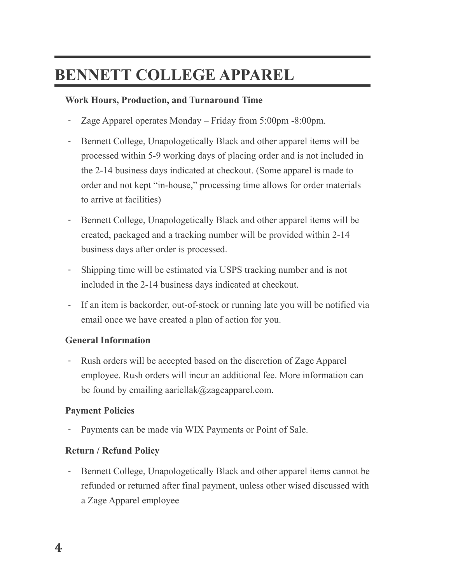### **BENNETT COLLEGE APPAREL**

#### **Work Hours, Production, and Turnaround Time**

- Zage Apparel operates Monday Friday from 5:00pm -8:00pm.
- Bennett College, Unapologetically Black and other apparel items will be processed within 5-9 working days of placing order and is not included in the 2-14 business days indicated at checkout. (Some apparel is made to order and not kept "in-house," processing time allows for order materials to arrive at facilities)
- Bennett College, Unapologetically Black and other apparel items will be created, packaged and a tracking number will be provided within 2-14 business days after order is processed.
- Shipping time will be estimated via USPS tracking number and is not included in the 2-14 business days indicated at checkout.
- If an item is backorder, out-of-stock or running late you will be notified via email once we have created a plan of action for you.

#### **General Information**

- Rush orders will be accepted based on the discretion of Zage Apparel employee. Rush orders will incur an additional fee. More information can be found by emailing aariellak@zageapparel.com.

#### **Payment Policies**

Payments can be made via WIX Payments or Point of Sale.

#### **Return / Refund Policy**

- Bennett College, Unapologetically Black and other apparel items cannot be refunded or returned after final payment, unless other wised discussed with a Zage Apparel employee